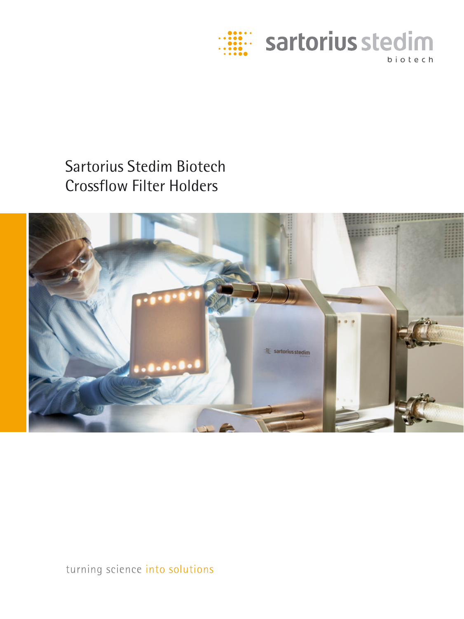

## Sartorius Stedim Biotech Crossflow Filter Holders



turning science into solutions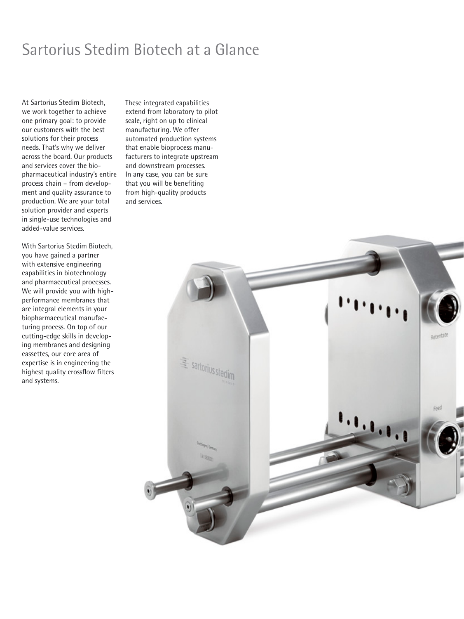## Sartorius Stedim Biotech at a Glance

At Sartorius Stedim Biotech, we work together to achieve one primary goal: to provide our customers with the best solutions for their process needs. That's why we deliver across the board. Our products and services cover the biopharmaceutical industry's entire process chain – from development and quality assurance to production. We are your total solution provider and experts in single-use technologies and added-value services.

With Sartorius Stedim Biotech, you have gained a partner with extensive engineering capabilities in biotechnology and pharmaceutical processes. We will provide you with highperformance membranes that are integral elements in your biopharmaceutical manufacturing process. On top of our cutting-edge skills in developing membranes and designing cassettes, our core area of expertise is in engineering the highest quality crossflow filters and systems.

These integrated capabilities extend from laboratory to pilot scale, right on up to clinical manufacturing. We offer automated production systems that enable bioprocess manufacturers to integrate upstream and downstream processes. In any case, you can be sure that you will be benefiting from high-quality products and services.

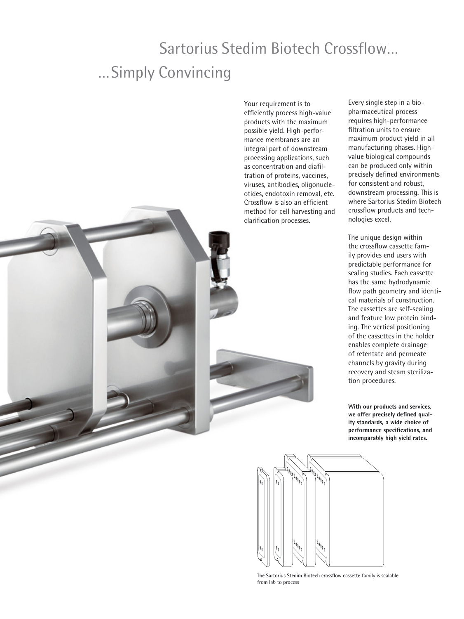# Sartorius Stedim Biotech Crossflow… …Simply Convincing

Your requirement is to efficiently process high-value products with the maximum possible yield. High-performance membranes are an integral part of downstream processing applications, such as concentration and diafiltration of proteins, vaccines, viruses, antibodies, oligonucleotides, endotoxin removal, etc. Crossflow is also an efficient method for cell harvesting and clarification processes.

Every single step in a biopharmaceutical process requires high-performance filtration units to ensure maximum product yield in all manufacturing phases. Highvalue biological compounds can be produced only within precisely defined environments for consistent and robust, downstream processing. This is where Sartorius Stedim Biotech crossflow products and technologies excel.

The unique design within the crossflow cassette family provides end users with predictable performance for scaling studies. Each cassette has the same hydrodynamic flow path geometry and identical materials of construction. The cassettes are self-sealing and feature low protein binding. The vertical positioning of the cassettes in the holder enables complete drainage of retentate and permeate channels by gravity during recovery and steam sterilization procedures.

**With our products and services, we offer precisely defined quality standards, a wide choice of performance specifications, and incomparably high yield rates.**



The Sartorius Stedim Biotech crossflow cassette family is scalable from lab to process

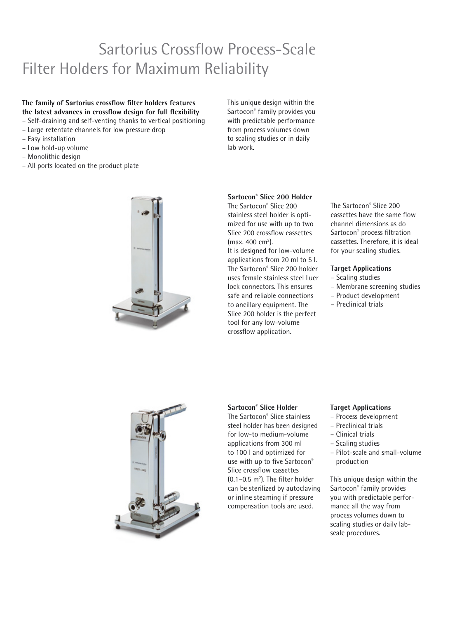## Sartorius Crossflow Process-Scale Filter Holders for Maximum Reliability

### **The family of Sartorius crossflow filter holders features the latest advances in crossflow design for full flexibility**

– Self-draining and self-venting thanks to vertical positioning

- Large retentate channels for low pressure drop
- Easy installation
- Low hold-up volume
- Monolithic design
- All ports located on the product plate

This unique design within the Sartocon® family provides you with predictable performance from process volumes down to scaling studies or in daily lab work.



#### **Sartocon® Slice 200 Holder**

The Sartocon® Slice 200 stainless steel holder is optimized for use with up to two Slice 200 crossflow cassettes (max. 400 cm<sup>2</sup>).

It is designed for low-volume applications from 20 ml to 5 l. The Sartocon® Slice 200 holder uses female stainless steel Luer lock connectors. This ensures safe and reliable connections to ancillary equipment. The Slice 200 holder is the perfect tool for any low-volume crossflow application.

The Sartocon® Slice 200 cassettes have the same flow channel dimensions as do Sartocon® process filtration cassettes. Therefore, it is ideal for your scaling studies.

### **Target Applications**

- Scaling studies
- Membrane screening studies
- Product development
- Preclinical trials



### **Sartocon® Slice Holder**

The Sartocon® Slice stainless steel holder has been designed for low-to medium-volume applications from 300 ml to 100 l and optimized for use with up to five Sartocon® Slice crossflow cassettes  $(0.1 - 0.5 \text{ m}^2)$ . The filter holder can be sterilized by autoclaving or inline steaming if pressure compensation tools are used.

#### **Target Applications**

- Process development
- Preclinical trials
- Clinical trials
- Scaling studies
- Pilot-scale and small-volume production

This unique design within the Sartocon® family provides you with predictable performance all the way from process volumes down to scaling studies or daily labscale procedures.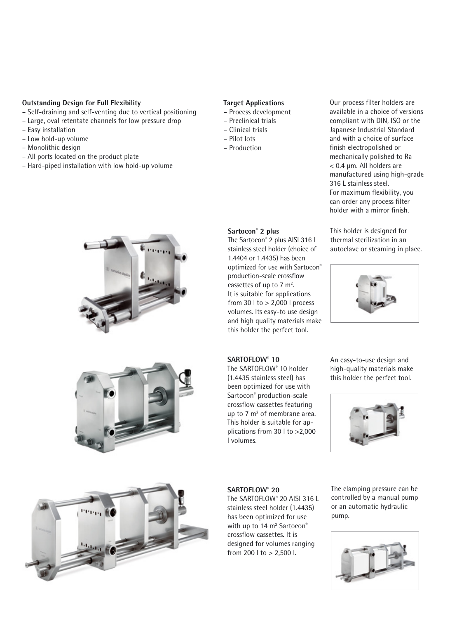### **Outstanding Design for Full Flexibility**

- Self-draining and self-venting due to vertical positioning
- Large, oval retentate channels for low pressure drop
- Easy installation
- Low hold-up volume
- Monolithic design
- All ports located on the product plate
- Hard-piped installation with low hold-up volume

### **Target Applications**

- Process development
- Preclinical trials

**Sartocon® 2 plus** 

SARTOFLOW<sup>®</sup> 10

The Sartocon® 2 plus AISI 316 L stainless steel holder (choice of 1.4404 or 1.4435) has been optimized for use with Sartocon® production-scale crossflow cassettes of up to 7  $m^2$ . It is suitable for applications from 30  $\vert$  to  $> 2,000$   $\vert$  process volumes. Its easy-to use design and high quality materials make this holder the perfect tool.

- Clinical trials
- Pilot lots
- Production

Our process filter holders are available in a choice of versions compliant with DIN, ISO or the Japanese Industrial Standard and with a choice of surface finish electropolished or mechanically polished to Ra < 0.4 µm. All holders are manufactured using high-grade 316 L stainless steel. For maximum flexibility, you can order any process filter holder with a mirror finish.





The SARTOFLOW® 10 holder (1.4435 stainless steel) has been optimized for use with Sartocon® production-scale crossflow cassettes featuring An easy-to-use design and





## **SARTOFLOW® 20**

l volumes.

The SARTOFLOW® 20 AISI 316 L stainless steel holder (1.4435) has been optimized for use with up to 14 $\,$ m<sup>2</sup> Sartocon<sup>®</sup> crossflow cassettes. It is designed for volumes ranging from 200 l to > 2,500 l.

up to 7 m<sup>2</sup> of membrane area. This holder is suitable for applications from 30 l to >2,000

> The clamping pressure can be controlled by a manual pump or an automatic hydraulic pump.







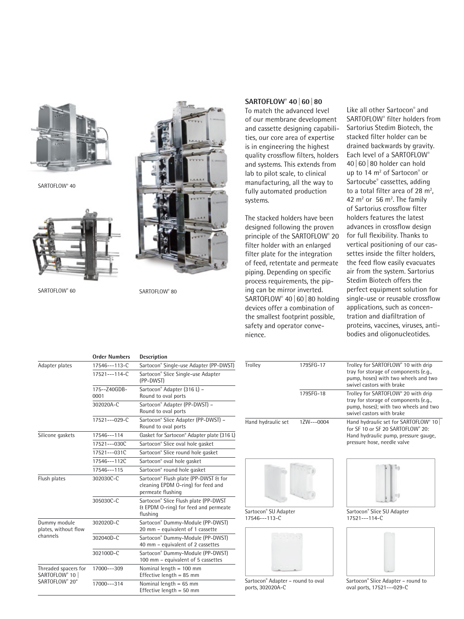

SARTOFLOW® 40



SARTOFLOW<sup>®</sup> 60



60 SARTOFLOW® 80

## **SARTOFLOW® 40|60|80**

To match the advanced level of our membrane development and cassette designing capabilities, our core area of expertise is in engineering the highest quality crossflow filters, holders and systems. This extends from lab to pilot scale, to clinical manufacturing, all the way to fully automated production systems.

The stacked holders have been designed following the proven principle of the SARTOFLOW® 20 filter holder with an enlarged filter plate for the integration of feed, retentate and permeate piping. Depending on specific process requirements, the piping can be mirror inverted. SARTOFLOW® 40|60|80 holding devices offer a combination of the smallest footprint possible, safety and operator convenience.

Like all other Sartocon® and SARTOFLOW® filter holders from Sartorius Stedim Biotech, the stacked filter holder can be drained backwards by gravity. Each level of a SARTOFLOW® 40|60|80 holder can hold up to 14 m<sup>2</sup> of Sartocon<sup>®</sup> or Sartocube® cassettes, adding to a total filter area of 28  $m<sup>2</sup>$ , 42  $m<sup>2</sup>$  or 56  $m<sup>2</sup>$ . The family of Sartorius crossflow filter holders features the latest advances in crossflow design for full flexibility. Thanks to vertical positioning of our cassettes inside the filter holders, the feed flow easily evacuates air from the system. Sartorius Stedim Biotech offers the perfect equipment solution for single-use or reusable crossflow applications, such as concentration and diafiltration of proteins, vaccines, viruses, antibodies and oligonucleotides.

|                                       | <b>Order Numbers</b> | <b>Description</b>                                                                              |
|---------------------------------------|----------------------|-------------------------------------------------------------------------------------------------|
| Adapter plates                        | $17546--113-C$       | Sartocon® Single-use Adapter (PP-DWST)                                                          |
|                                       | $17521--114-C$       | Sartocon® Slice Single-use Adapter<br>(PP-DWST)                                                 |
|                                       | 175--Z40GDB-<br>0001 | Sartocon® Adapter (316 L) -<br>Round to oval ports                                              |
|                                       | 302020A-C            | Sartocon® Adapter (PP-DWST) -<br>Round to oval ports                                            |
|                                       | 17521---029-C        | Sartocon® Slice Adapter (PP-DWST) -<br>Round to oval ports                                      |
| Silicone gaskets                      | 17546---114          | Gasket for Sartocon® Adapter plate (316 L)                                                      |
|                                       | 17521---030C         | Sartocon® Slice oval hole gasket                                                                |
|                                       | $17521--031C$        | Sartocon® Slice round hole gasket                                                               |
|                                       | 17546---112C         | Sartocon® oval hole gasket                                                                      |
|                                       | 17546---115          | Sartocon® round hole gasket                                                                     |
| Flush plates                          | 302030C-C            | Sartocon® Flush plate (PP-DWST & for<br>cleaning EPDM O-ring) for feed and<br>permeate flushing |
|                                       | 305030C-C            | Sartocon® Slice Flush plate (PP-DWST<br>& EPDM O-ring) for feed and permeate<br>flushina        |
| Dummy module<br>plates, without flow  | 302020D-C            | Sartocon® Dummy-Module (PP-DWST)<br>20 mm - equivalent of 1 cassette                            |
| channels                              | 302040D-C            | Sartocon® Dummy-Module (PP-DWST)<br>40 mm - equivalent of 2 cassettes                           |
|                                       | 302100D-C            | Sartocon® Dummy-Module (PP-DWST)<br>100 mm - equivalent of 5 cassettes                          |
| Threaded spacers for<br>SARTOFLOW® 10 | 17000---309          | Nominal length = 100 mm<br>Effective length = $85$ mm                                           |
| SARTOFLOW® 20"                        | 17000---314          | Nominal length $= 65$ mm<br>Effective length = $50$ mm                                          |

| Trolley            | 179SFG-17    | Trolley for SARTOFLOW® 10 with drip<br>tray for storage of components (e.g.,<br>pump, hoses) with two wheels and two<br>swivel castors with brake            |
|--------------------|--------------|--------------------------------------------------------------------------------------------------------------------------------------------------------------|
|                    | 179SFG-18    | Trolley for SARTOFLOW® 20 with drip<br>tray for storage of components (e.g.,<br>pump, hoses); with two wheels and two<br>swivel castors with brake           |
| Hand hydraulic set | $1ZW---0004$ | Hand hydraulic set for SARTOFLOW <sup>®</sup> 10<br>for SF 10 or SF 20 SARTOFLOW® 20:<br>Hand hydraulic pump, pressure gauge,<br>pressure hose, needle valve |



Sartocon® SU Adapter 17546---113-C



Sartocon® Adapter – round to oval ports, 302020A-C



Sartocon® Slice SU Adapter 17521---114-C



Sartocon® Slice Adapter – round to oval ports, 17521---029-C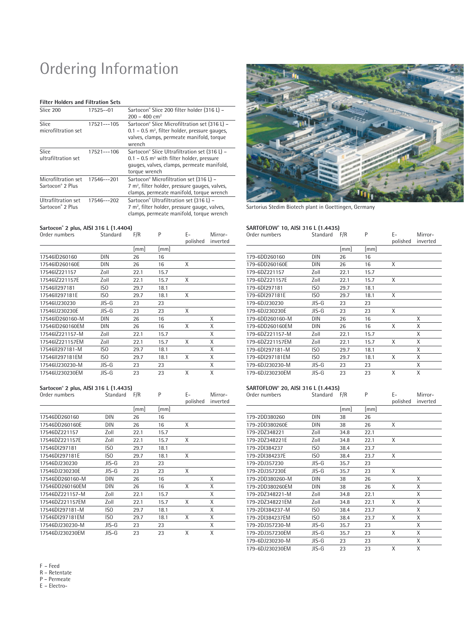## Ordering Information

#### **Filter Holders and Filtration Sets**

**Sartocon® 2 plus, AISI 316 L (1.4404)**

| Slice 200                                           | 17525 -- 01  | Sartocon® Slice 200 filter holder (316 L) -<br>$200 - 400$ cm <sup>2</sup>                                                                                                          |
|-----------------------------------------------------|--------------|-------------------------------------------------------------------------------------------------------------------------------------------------------------------------------------|
| Slice<br>microfiltration set                        | $17521--105$ | Sartocon® Slice Microfiltration set (316 L) -<br>$0.1 - 0.5$ m <sup>2</sup> , filter holder, pressure gauges,<br>valves, clamps, permeate manifold, torque<br>wrench                |
| Slice<br>ultrafiltration set                        | 17521---106  | Sartocon <sup>®</sup> Slice Ultrafiltration set (316 L) –<br>$0.1 - 0.5$ m <sup>2</sup> with filter holder, pressure<br>gauges, valves, clamps, permeate manifold,<br>torque wrench |
| Microfiltration set<br>Sartocon <sup>®</sup> 2 Plus | 17546---201  | Sartocon® Microfiltration set (316 L) -<br>7 m <sup>2</sup> , filter holder, pressure gauges, valves,<br>clamps, permeate manifold, torque wrench                                   |
| Ultrafiltration set<br>Sartocon <sup>®</sup> 2 Plus | 17546---202  | Sartocon <sup>®</sup> Ultrafiltration set (316 L) -<br>7 m <sup>2</sup> , filter holder, pressure gauge, valves,<br>clamps, permeate manifold, torque wrench                        |



Sartorius Stedim Biotech plant in Goettingen, Germany

#### **SARTOFLOW® 10, AISI 316 L (1.4435)**

#### Order numbers Standard F/R P E- Mirror-<br>polished inverted inverted [mm] [mm] 17546ID260160 DIN 26 16 17546ID260160E DIN 26 16 X 17546IZ221157 Zoll 22.1 15.7 17546IZ221157E Zoll 22.1 15.7 X 17546II297181 ISO 29.7 18.1 17546II297181E ISO 29.7 18.1 X 17546IJ230230 JIS-G 23 23 17546IJ230230E JIS-G 23 23 X 17546ID260160-M DIN 26 16 X 17546ID260160EM DIN 26 16 X X 17546IZ221157-M Zoll 22.1 15.7 X 17546IZ221157EM Zoll 22.1 15.7 17546II297181-M ISO 29.7 18.1 X 17546II297181EM ISO 29.7 18.1 X X 17546IJ230230-M JIS-G 23 23 X 17546IJ230230EM JIS-G 23 23 X X

#### **Sartocon® 2 plus, AISI 316 L (1.4435)**

Order numbers Standard F/R P E- Mirror polished inverted [mm] [mm] 17546DD260160 DIN 26 16 17546DD260160E DIN 26 16 X 17546DZ221157 Zoll 22.1 15.7 17546DZ221157E Zoll 22.1 15.7 X 17546DI297181 ISO 29.7 18.1 17546DI297181E ISO 29.7 18.1 X 17546DJ230230 JIS-G 23 23 17546DJ230230E JIS-G 23 23 X 17546DD260160-M DIN 26 16 X 17546DD260160EM DIN 26 16 X X 17546DZ221157-M Zoll 22.1 15.7 X 17546DZ221157EM Zoll 22.1 15.7 X X 17546DI297181-M ISO 29.7 18.1 X 17546DI297181EM ISO 29.7 18.1 X X 17546DJ230230-M JIS-G 23 23 X 17546DJ230230EM JIS-G 23 23 X X

| Order numbers   | Standard   | F/R  | P    | E-<br>polished | Mirror-<br>inverted |
|-----------------|------------|------|------|----------------|---------------------|
|                 |            | [mm] | [mm] |                |                     |
| 179-6DD260160   | <b>DIN</b> | 26   | 16   |                |                     |
| 179-6DD260160E  | <b>DIN</b> | 26   | 16   | X              |                     |
| 179-6DZ221157   | Zoll       | 22.1 | 15.7 |                |                     |
| 179-6DZ221157E  | Zoll       | 22.1 | 15.7 | X              |                     |
| 179-6DI297181   | ISO        | 29.7 | 18.1 |                |                     |
| 179-6DI297181E  | ISO        | 29.7 | 18.1 | X              |                     |
| 179-6DJ230230   | $JIS-G$    | 23   | 23   |                |                     |
| 179-6DJ230230E  | JIS-G      | 23   | 23   | X              |                     |
| 179-6DD260160-M | DIN        | 26   | 16   |                | X                   |
| 179-6DD260160EM | DIN        | 26   | 16   | X              | Χ                   |
| 179-6DZ221157-M | Zoll       | 22.1 | 15.7 |                | X                   |
| 179-6DZ221157EM | Zoll       | 22.1 | 15.7 | X              | Χ                   |
| 179-6DI297181-M | ISO        | 29.7 | 18.1 |                | X                   |
| 179-6DI297181EM | ISO        | 29.7 | 18.1 | X              | X                   |
| 179-6DJ230230-M | JIS-G      | 23   | 23   |                | X                   |
| 179-6DJ230230EM | JIS-G      | 23   | 23   | X              | Χ                   |

#### **SARTOFLOW® 20, AISI 316 L (1.4435)**

| Order numbers | Standard F/R |  |                   | Mirror- |
|---------------|--------------|--|-------------------|---------|
|               |              |  | nolished inverter |         |

|                 |         |      |      | polished | inverted |
|-----------------|---------|------|------|----------|----------|
|                 |         | [mm] | [mm] |          |          |
| 179-2DD380260   | DIN     | 38   | 26   |          |          |
| 179-2DD380260E  | DIN     | 38   | 26   | X        |          |
| 179-2DZ348221   | Zoll    | 34.8 | 22.1 |          |          |
| 179-2DZ348221E  | Zoll    | 34.8 | 22.1 | X        |          |
| 179-2DI384237   | ISO     | 38.4 | 23.7 |          |          |
| 179-2DI384237E  | ISO     | 38.4 | 23.7 | X        |          |
| 179-2DJ357230   | $JIS-G$ | 35.7 | 23   |          |          |
| 179-2DJ357230E  | $JIS-G$ | 35.7 | 23   | X        |          |
| 179-2DD380260-M | DIN     | 38   | 26   |          | X        |
| 179-2DD380260EM | DIN     | 38   | 26   | Χ        | Χ        |
| 179-2DZ348221-M | Zoll    | 34.8 | 22.1 |          | X        |
| 179-2DZ348221EM | Zoll    | 34.8 | 22.1 | X        | X        |
| 179-2DI384237-M | ISO.    | 38.4 | 23.7 |          | X        |
| 179-2DI384237EM | ISO     | 38.4 | 23.7 | X        | X        |
| 179-2DJ357230-M | $JIS-G$ | 35.7 | 23   |          | X        |
| 179-2DJ357230EM | $JIS-G$ | 35.7 | 23   | X        | X        |
| 179-6DJ230230-M | $JIS-G$ | 23   | 23   |          | X        |
| 179-6DJ230230EM | $JIS-G$ | 23   | 23   | Χ        | Χ        |

F – Feed

R – Retentate

P – Permeate

E – Electro-